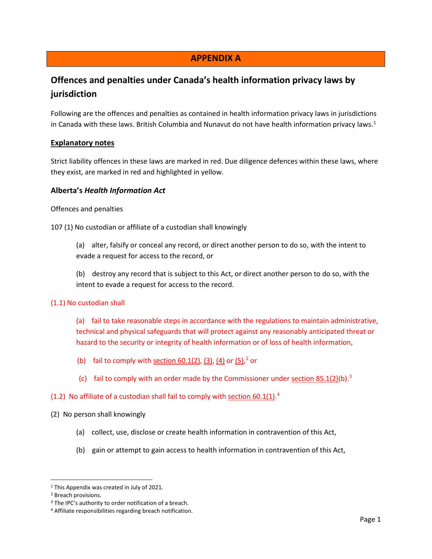## **APPENDIX A**

# **Offences and penalties under Canada's health information privacy laws by jurisdiction**

Following are the offences and penalties as contained in health information privacy laws in jurisdictions in Canada with these laws. British Columbia and Nunavut do not have health information privacy laws.<sup>[1](#page-0-0)</sup>

#### **Explanatory notes**

Strict liability offences in these laws are marked in red. Due diligence defences within these laws, where they exist, are marked in red and highlighted in yellow.

#### **Alberta's** *Health Information Act*

Offences and penalties

107 (1) No custodian or affiliate of a custodian shall knowingly

(a) alter, falsify or conceal any record, or direct another person to do so, with the intent to evade a request for access to the record, or

(b) destroy any record that is subject to this Act, or direct another person to do so, with the intent to evade a request for access to the record.

#### (1.1) No custodian shall

(a) fail to take reasonable steps in accordance with the regulations to maintain administrative, technical and physical safeguards that will protect against any reasonably anticipated threat or hazard to the security or integrity of health information or of loss of health information,

- (b) fail to comply with [section 60.1\(2\),](https://www.canlii.org/en/ab/laws/stat/rsa-2000-c-h-5/latest/rsa-2000-c-h-5.html#sec60.1subsec2_smooth) [\(3\),](https://www.canlii.org/en/ab/laws/stat/rsa-2000-c-h-5/latest/rsa-2000-c-h-5.html#sec60.1subsec3_smooth) [\(4\)](https://www.canlii.org/en/ab/laws/stat/rsa-2000-c-h-5/latest/rsa-2000-c-h-5.html#sec60.1subsec4_smooth) or  $(5)$ ,  $2$  or
	- (c) fail to comply with an order made by the Commissioner under section  $85.1(2)(b)^3$

#### $(1.2)$  No affiliate of a custodian shall fail to comply with section  $60.1(1)$ .<sup>[4](#page-0-3)</sup>

#### (2) No person shall knowingly

- (a) collect, use, disclose or create health information in contravention of this Act,
- (b) gain or attempt to gain access to health information in contravention of this Act,

<span id="page-0-1"></span><span id="page-0-0"></span><sup>1</sup> This Appendix was created in July of 2021.

<sup>2</sup> Breach provisions.

<span id="page-0-2"></span><sup>&</sup>lt;sup>3</sup> The IPC's authority to order notification of a breach.

<span id="page-0-3"></span><sup>4</sup> Affiliate responsibilities regarding breach notification.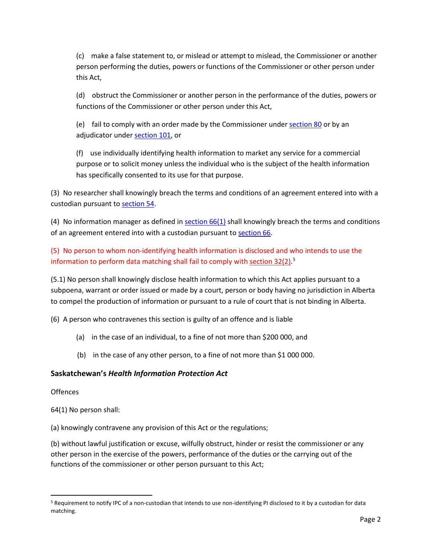(c) make a false statement to, or mislead or attempt to mislead, the Commissioner or another person performing the duties, powers or functions of the Commissioner or other person under this Act,

(d) obstruct the Commissioner or another person in the performance of the duties, powers or functions of the Commissioner or other person under this Act,

(e) fail to comply with an order made by the Commissioner under [section 80](https://www.canlii.org/en/ab/laws/stat/rsa-2000-c-h-5/latest/rsa-2000-c-h-5.html#sec80_smooth) or by an adjudicator unde[r section 101,](https://www.canlii.org/en/ab/laws/stat/rsa-2000-c-h-5/latest/rsa-2000-c-h-5.html#sec101_smooth) or

(f) use individually identifying health information to market any service for a commercial purpose or to solicit money unless the individual who is the subject of the health information has specifically consented to its use for that purpose.

(3) No researcher shall knowingly breach the terms and conditions of an agreement entered into with a custodian pursuant t[o section 54.](https://www.canlii.org/en/ab/laws/stat/rsa-2000-c-h-5/latest/rsa-2000-c-h-5.html#sec54_smooth)

(4) No information manager as defined in [section 66\(1\)](https://www.canlii.org/en/ab/laws/stat/rsa-2000-c-h-5/latest/rsa-2000-c-h-5.html#sec66subsec1_smooth) shall knowingly breach the terms and conditions of an agreement entered into with a custodian pursuant t[o section 66.](https://www.canlii.org/en/ab/laws/stat/rsa-2000-c-h-5/latest/rsa-2000-c-h-5.html#sec66_smooth)

(5) No person to whom non-identifying health information is disclosed and who intends to use the information to perform data matching shall fail to comply with [section 32\(2\).](https://www.canlii.org/en/ab/laws/stat/rsa-2000-c-h-5/latest/rsa-2000-c-h-5.html#sec32subsec2_smooth)<sup>[5](#page-1-0)</sup>

(5.1) No person shall knowingly disclose health information to which this Act applies pursuant to a subpoena, warrant or order issued or made by a court, person or body having no jurisdiction in Alberta to compel the production of information or pursuant to a rule of court that is not binding in Alberta.

(6) A person who contravenes this section is guilty of an offence and is liable

- (a) in the case of an individual, to a fine of not more than \$200 000, and
- (b) in the case of any other person, to a fine of not more than \$1 000 000.

## **Saskatchewan's** *Health Information Protection Act*

**Offences** 

64(1) No person shall:

(a) knowingly contravene any provision of this Act or the regulations;

(b) without lawful justification or excuse, wilfully obstruct, hinder or resist the commissioner or any other person in the exercise of the powers, performance of the duties or the carrying out of the functions of the commissioner or other person pursuant to this Act;

<span id="page-1-0"></span><sup>5</sup> Requirement to notify IPC of a non-custodian that intends to use non-identifying PI disclosed to it by a custodian for data matching.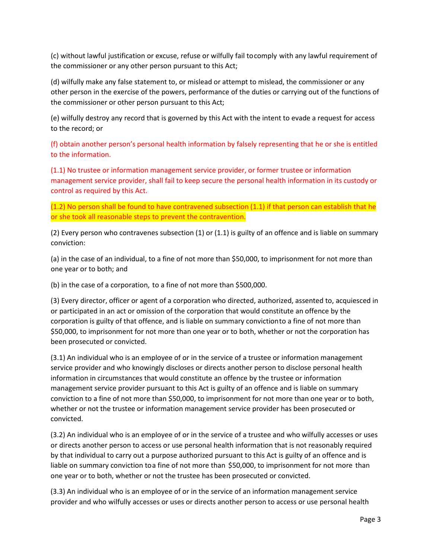(c) without lawful justification or excuse, refuse or wilfully fail tocomply with any lawful requirement of the commissioner or any other person pursuant to this Act;

(d) wilfully make any false statement to, or mislead or attempt to mislead, the commissioner or any other person in the exercise of the powers, performance of the duties or carrying out of the functions of the commissioner or other person pursuant to this Act;

(e) wilfully destroy any record that is governed by this Act with the intent to evade a request for access to the record; or

(f) obtain another person's personal health information by falsely representing that he or she is entitled to the information.

(1.1) No trustee or information management service provider, or former trustee or information management service provider, shall fail to keep secure the personal health information in its custody or control as required by this Act.

(1.2) No person shall be found to have contravened subsection (1.1) if that person can establish that he or she took all reasonable steps to prevent the contravention.

(2) Every person who contravenes subsection (1) or (1.1) is guilty of an offence and is liable on summary conviction:

(a) in the case of an individual, to a fine of not more than \$50,000, to imprisonment for not more than one year or to both; and

(b) in the case of a corporation, to a fine of not more than \$500,000.

(3) Every director, officer or agent of a corporation who directed, authorized, assented to, acquiesced in or participated in an act or omission of the corporation that would constitute an offence by the corporation is guilty of that offence, and is liable on summary convictionto a fine of not more than \$50,000, to imprisonment for not more than one year or to both, whether or not the corporation has been prosecuted or convicted.

(3.1) An individual who is an employee of or in the service of a trustee or information management service provider and who knowingly discloses or directs another person to disclose personal health information in circumstances that would constitute an offence by the trustee or information management service provider pursuant to this Act is guilty of an offence and is liable on summary conviction to a fine of not more than \$50,000, to imprisonment for not more than one year or to both, whether or not the trustee or information management service provider has been prosecuted or convicted.

(3.2) An individual who is an employee of or in the service of a trustee and who wilfully accesses or uses or directs another person to access or use personal health information that is not reasonably required by that individual to carry out a purpose authorized pursuant to this Act is guilty of an offence and is liable on summary conviction toa fine of not more than \$50,000, to imprisonment for not more than one year or to both, whether or not the trustee has been prosecuted or convicted.

(3.3) An individual who is an employee of or in the service of an information management service provider and who wilfully accesses or uses or directs another person to access or use personal health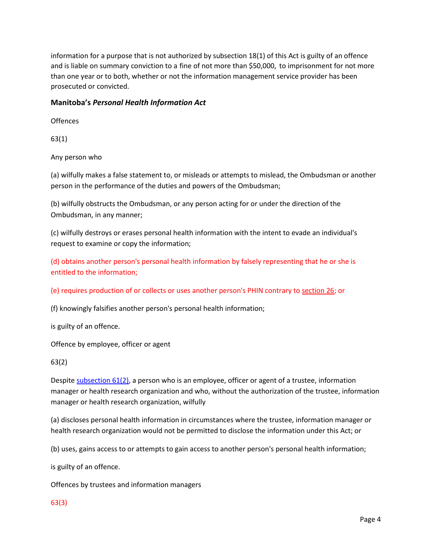information for a purpose that is not authorized by subsection 18(1) of this Act is guilty of an offence and is liable on summary conviction to a fine of not more than \$50,000, to imprisonment for not more than one year or to both, whether or not the information management service provider has been prosecuted or convicted.

#### **Manitoba's** *Personal Health Information Act*

**Offences** 

63(1)

Any person who

(a) wilfully makes a false statement to, or misleads or attempts to mislead, the Ombudsman or another person in the performance of the duties and powers of the Ombudsman;

(b) wilfully obstructs the Ombudsman, or any person acting for or under the direction of the Ombudsman, in any manner;

(c) wilfully destroys or erases personal health information with the intent to evade an individual's request to examine or copy the information;

(d) obtains another person's personal health information by falsely representing that he or she is entitled to the information;

(e) requires production of or collects or uses another person's PHIN contrary to [section](https://www.canlii.org/en/mb/laws/stat/ccsm-c-p33.5/latest/ccsm-c-p33.5.html#sec26_smooth) 26; or

(f) knowingly falsifies another person's personal health information;

is guilty of an offence.

Offence by employee, officer or agent

63(2)

Despit[e subsection](https://www.canlii.org/en/mb/laws/stat/ccsm-c-p33.5/latest/ccsm-c-p33.5.html#sec61subsec2_smooth) 61(2), a person who is an employee, officer or agent of a trustee, information manager or health research organization and who, without the authorization of the trustee, information manager or health research organization, wilfully

(a) discloses personal health information in circumstances where the trustee, information manager or health research organization would not be permitted to disclose the information under this Act; or

(b) uses, gains access to or attempts to gain access to another person's personal health information;

is guilty of an offence.

Offences by trustees and information managers

63(3)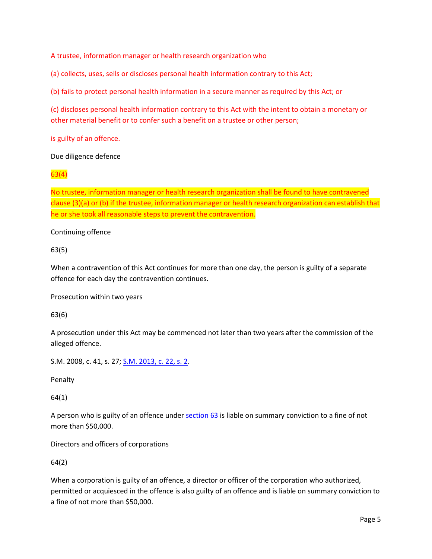A trustee, information manager or health research organization who

(a) collects, uses, sells or discloses personal health information contrary to this Act;

(b) fails to protect personal health information in a secure manner as required by this Act; or

(c) discloses personal health information contrary to this Act with the intent to obtain a monetary or other material benefit or to confer such a benefit on a trustee or other person;

is guilty of an offence.

Due diligence defence

63(4)

No trustee, information manager or health research organization shall be found to have contravened clause (3)(a) or (b) if the trustee, information manager or health research organization can establish that he or she took all reasonable steps to prevent the contravention.

Continuing offence

63(5)

When a contravention of this Act continues for more than one day, the person is guilty of a separate offence for each day the contravention continues.

Prosecution within two years

63(6)

A prosecution under this Act may be commenced not later than two years after the commission of the alleged offence.

S.M. 2008, c. 41, s. 27[; S.M. 2013, c. 22, s. 2.](https://www.canlii.org/en/mb/laws/stat/sm-2013-c-22/latest/sm-2013-c-22.html#sec2_smooth)

Penalty

64(1)

A person who is guilty of an offence under [section](https://www.canlii.org/en/mb/laws/stat/ccsm-c-p33.5/latest/ccsm-c-p33.5.html#sec63_smooth) 63 is liable on summary conviction to a fine of not more than \$50,000.

Directors and officers of corporations

64(2)

When a corporation is guilty of an offence, a director or officer of the corporation who authorized, permitted or acquiesced in the offence is also guilty of an offence and is liable on summary conviction to a fine of not more than \$50,000.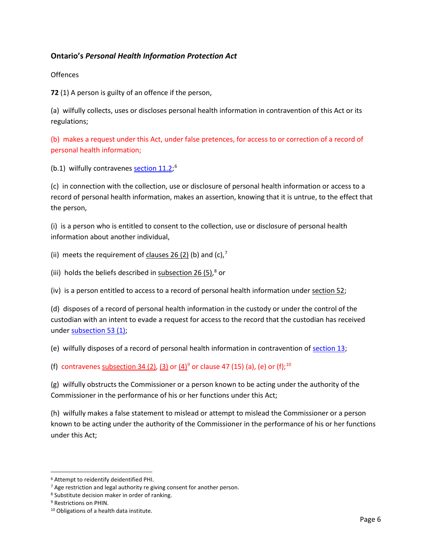## **Ontario's** *Personal Health Information Protection Act*

**Offences** 

**72** (1) A person is guilty of an offence if the person,

(a) wilfully collects, uses or discloses personal health information in contravention of this Act or its regulations;

(b) makes a request under this Act, under false pretences, for access to or correction of a record of personal health information;

(b.1) wilfully contravenes [section 11.2;](https://www.canlii.org/en/on/laws/stat/so-2004-c-3-sch-a/latest/so-2004-c-3-sch-a.html#sec11.2_smooth)<sup>[6](#page-5-0)</sup>

(c) in connection with the collection, use or disclosure of personal health information or access to a record of personal health information, makes an assertion, knowing that it is untrue, to the effect that the person,

(i) is a person who is entitled to consent to the collection, use or disclosure of personal health information about another individual,

(ii) meets the requirement of clauses  $26$  (2) (b) and (c),<sup>[7](#page-5-1)</sup>

(iii) holds the beliefs described in [subsection 26 \(5\),](https://www.canlii.org/en/on/laws/stat/so-2004-c-3-sch-a/latest/so-2004-c-3-sch-a.html#sec26subsec5_smooth)<sup>[8](#page-5-2)</sup> or

(iv) is a person entitled to access to a record of personal health information under section  $52$ ;

(d) disposes of a record of personal health information in the custody or under the control of the custodian with an intent to evade a request for access to the record that the custodian has received under [subsection 53 \(1\);](https://www.canlii.org/en/on/laws/stat/so-2004-c-3-sch-a/latest/so-2004-c-3-sch-a.html#sec53subsec1_smooth)

(e) wilfully disposes of a record of personal health information in contravention of [section 13;](https://www.canlii.org/en/on/laws/stat/so-2004-c-3-sch-a/latest/so-2004-c-3-sch-a.html#sec13_smooth)

(f) contravene[s subsection 34 \(2\),](https://www.canlii.org/en/on/laws/stat/so-2004-c-3-sch-a/latest/so-2004-c-3-sch-a.html#sec34subsec2_smooth) [\(3\)](https://www.canlii.org/en/on/laws/stat/so-2004-c-3-sch-a/latest/so-2004-c-3-sch-a.html#sec34subsec3_smooth) or  $(4)^9$  $(4)^9$  or clause 47 (15) (a), (e) or (f);<sup>[10](#page-5-4)</sup>

(g) wilfully obstructs the Commissioner or a person known to be acting under the authority of the Commissioner in the performance of his or her functions under this Act;

(h) wilfully makes a false statement to mislead or attempt to mislead the Commissioner or a person known to be acting under the authority of the Commissioner in the performance of his or her functions under this Act;

<span id="page-5-0"></span><sup>6</sup> Attempt to reidentify deidentified PHI.

<span id="page-5-1"></span><sup>&</sup>lt;sup>7</sup> Age restriction and legal authority re giving consent for another person.

<span id="page-5-2"></span><sup>8</sup> Substitute decision maker in order of ranking.

<span id="page-5-3"></span><sup>9</sup> Restrictions on PHIN.

<span id="page-5-4"></span><sup>10</sup> Obligations of a health data institute.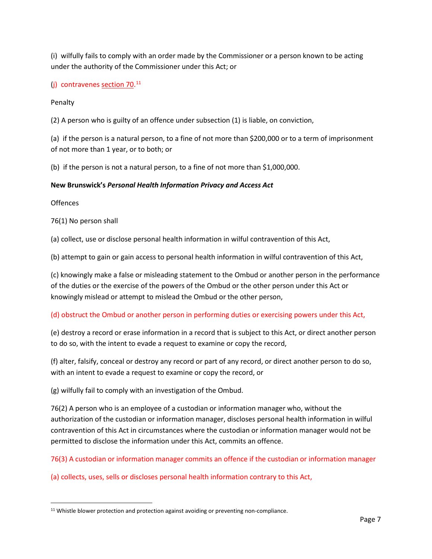(i) wilfully fails to comply with an order made by the Commissioner or a person known to be acting under the authority of the Commissioner under this Act; or

(j) contravenes [section 70.](https://www.canlii.org/en/on/laws/stat/so-2004-c-3-sch-a/latest/so-2004-c-3-sch-a.html#sec70_smooth)<sup>[11](#page-6-0)</sup>

Penalty

(2) A person who is guilty of an offence under subsection (1) is liable, on conviction,

(a) if the person is a natural person, to a fine of not more than \$200,000 or to a term of imprisonment of not more than 1 year, or to both; or

(b) if the person is not a natural person, to a fine of not more than \$1,000,000.

#### **New Brunswick's** *Personal Health Information Privacy and Access Act*

Offences

76(1) No person shall

(a) collect, use or disclose personal health information in wilful contravention of this Act,

(b) attempt to gain or gain access to personal health information in wilful contravention of this Act,

(c) knowingly make a false or misleading statement to the Ombud or another person in the performance of the duties or the exercise of the powers of the Ombud or the other person under this Act or knowingly mislead or attempt to mislead the Ombud or the other person,

#### (d) obstruct the Ombud or another person in performing duties or exercising powers under this Act,

(e) destroy a record or erase information in a record that is subject to this Act, or direct another person to do so, with the intent to evade a request to examine or copy the record,

(f) alter, falsify, conceal or destroy any record or part of any record, or direct another person to do so, with an intent to evade a request to examine or copy the record, or

(g) wilfully fail to comply with an investigation of the Ombud.

76(2) A person who is an employee of a custodian or information manager who, without the authorization of the custodian or information manager, discloses personal health information in wilful contravention of this Act in circumstances where the custodian or information manager would not be permitted to disclose the information under this Act, commits an offence.

76(3) A custodian or information manager commits an offence if the custodian or information manager

(a) collects, uses, sells or discloses personal health information contrary to this Act,

<span id="page-6-0"></span><sup>&</sup>lt;sup>11</sup> Whistle blower protection and protection against avoiding or preventing non-compliance.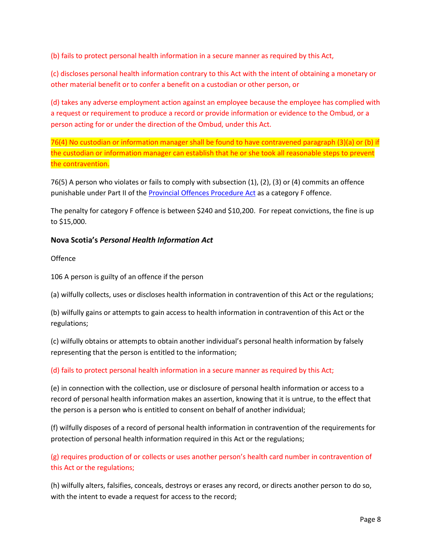(b) fails to protect personal health information in a secure manner as required by this Act,

(c) discloses personal health information contrary to this Act with the intent of obtaining a monetary or other material benefit or to confer a benefit on a custodian or other person, or

(d) takes any adverse employment action against an employee because the employee has complied with a request or requirement to produce a record or provide information or evidence to the Ombud, or a person acting for or under the direction of the Ombud, under this Act.

76(4) No custodian or information manager shall be found to have contravened paragraph (3)(a) or (b) if the custodian or information manager can establish that he or she took all reasonable steps to prevent the contravention.

76(5) A person who violates or fails to comply with subsection (1), (2), (3) or (4) commits an offence punishable under Part II of th[e Provincial Offences Procedure Act](https://www.canlii.org/en/nb/laws/stat/snb-1987-c-p-22.1/latest/snb-1987-c-p-22.1.html) as a category F offence.

The penalty for category F offence is between \$240 and \$10,200. For repeat convictions, the fine is up to \$15,000.

## **Nova Scotia's** *Personal Health Information Act*

#### **Offence**

106 A person is guilty of an offence if the person

(a) wilfully collects, uses or discloses health information in contravention of this Act or the regulations;

(b) wilfully gains or attempts to gain access to health information in contravention of this Act or the regulations;

(c) wilfully obtains or attempts to obtain another individual's personal health information by falsely representing that the person is entitled to the information;

#### (d) fails to protect personal health information in a secure manner as required by this Act;

(e) in connection with the collection, use or disclosure of personal health information or access to a record of personal health information makes an assertion, knowing that it is untrue, to the effect that the person is a person who is entitled to consent on behalf of another individual;

(f) wilfully disposes of a record of personal health information in contravention of the requirements for protection of personal health information required in this Act or the regulations;

## (g) requires production of or collects or uses another person's health card number in contravention of this Act or the regulations;

(h) wilfully alters, falsifies, conceals, destroys or erases any record, or directs another person to do so, with the intent to evade a request for access to the record;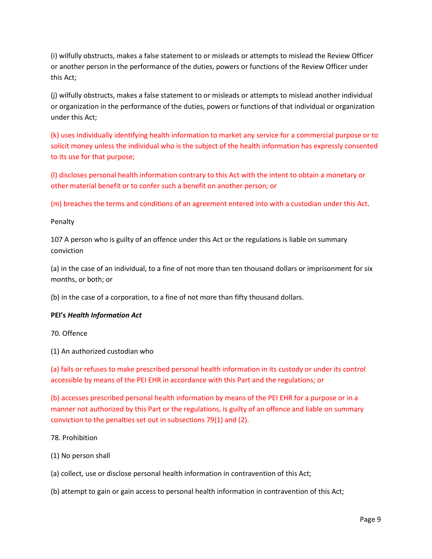(i) wilfully obstructs, makes a false statement to or misleads or attempts to mislead the Review Officer or another person in the performance of the duties, powers or functions of the Review Officer under this Act;

(j) wilfully obstructs, makes a false statement to or misleads or attempts to mislead another individual or organization in the performance of the duties, powers or functions of that individual or organization under this Act;

(k) uses individually identifying health information to market any service for a commercial purpose or to solicit money unless the individual who is the subject of the health information has expressly consented to its use for that purpose;

(l) discloses personal health information contrary to this Act with the intent to obtain a monetary or other material benefit or to confer such a benefit on another person; or

(m) breaches the terms and conditions of an agreement entered into with a custodian under this Act.

#### Penalty

107 A person who is guilty of an offence under this Act or the regulations is liable on summary conviction

(a) in the case of an individual, to a fine of not more than ten thousand dollars or imprisonment for six months, or both; or

(b) in the case of a corporation, to a fine of not more than fifty thousand dollars.

#### **PEI's** *Health Information Act*

70. Offence

(1) An authorized custodian who

(a) fails or refuses to make prescribed personal health information in its custody or under its control accessible by means of the PEI EHR in accordance with this Part and the regulations; or

(b) accesses prescribed personal health information by means of the PEI EHR for a purpose or in a manner not authorized by this Part or the regulations, is guilty of an offence and liable on summary conviction to the penalties set out in subsections 79(1) and (2).

#### 78. Prohibition

(1) No person shall

(a) collect, use or disclose personal health information in contravention of this Act;

(b) attempt to gain or gain access to personal health information in contravention of this Act;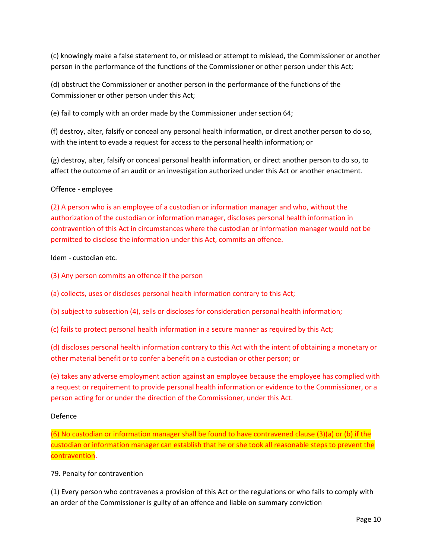(c) knowingly make a false statement to, or mislead or attempt to mislead, the Commissioner or another person in the performance of the functions of the Commissioner or other person under this Act;

(d) obstruct the Commissioner or another person in the performance of the functions of the Commissioner or other person under this Act;

(e) fail to comply with an order made by the Commissioner under section 64;

(f) destroy, alter, falsify or conceal any personal health information, or direct another person to do so, with the intent to evade a request for access to the personal health information; or

(g) destroy, alter, falsify or conceal personal health information, or direct another person to do so, to affect the outcome of an audit or an investigation authorized under this Act or another enactment.

#### Offence - employee

(2) A person who is an employee of a custodian or information manager and who, without the authorization of the custodian or information manager, discloses personal health information in contravention of this Act in circumstances where the custodian or information manager would not be permitted to disclose the information under this Act, commits an offence.

Idem - custodian etc.

(3) Any person commits an offence if the person

(a) collects, uses or discloses personal health information contrary to this Act;

(b) subject to subsection (4), sells or discloses for consideration personal health information;

(c) fails to protect personal health information in a secure manner as required by this Act;

(d) discloses personal health information contrary to this Act with the intent of obtaining a monetary or other material benefit or to confer a benefit on a custodian or other person; or

(e) takes any adverse employment action against an employee because the employee has complied with a request or requirement to provide personal health information or evidence to the Commissioner, or a person acting for or under the direction of the Commissioner, under this Act.

#### Defence

(6) No custodian or information manager shall be found to have contravened clause (3)(a) or (b) if the custodian or information manager can establish that he or she took all reasonable steps to prevent the contravention.

#### 79. Penalty for contravention

(1) Every person who contravenes a provision of this Act or the regulations or who fails to comply with an order of the Commissioner is guilty of an offence and liable on summary conviction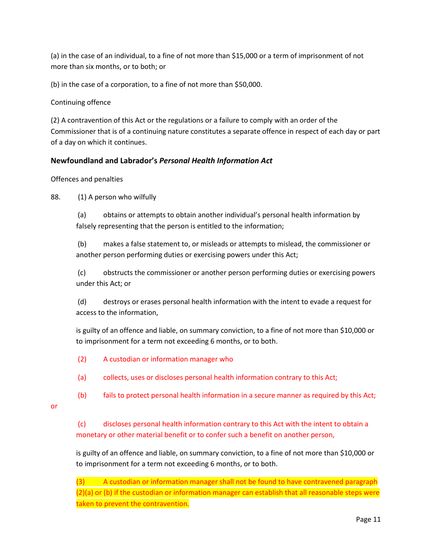(a) in the case of an individual, to a fine of not more than \$15,000 or a term of imprisonment of not more than six months, or to both; or

(b) in the case of a corporation, to a fine of not more than \$50,000.

Continuing offence

(2) A contravention of this Act or the regulations or a failure to comply with an order of the Commissioner that is of a continuing nature constitutes a separate offence in respect of each day or part of a day on which it continues.

## **Newfoundland and Labrador's** *Personal Health Information Act*

Offences and penalties

88. (1) A person who wilfully

(a) obtains or attempts to obtain another individual's personal health information by falsely representing that the person is entitled to the information;

(b) makes a false statement to, or misleads or attempts to mislead, the commissioner or another person performing duties or exercising powers under this Act;

(c) obstructs the commissioner or another person performing duties or exercising powers under this Act; or

(d) destroys or erases personal health information with the intent to evade a request for access to the information,

is guilty of an offence and liable, on summary conviction, to a fine of not more than \$10,000 or to imprisonment for a term not exceeding 6 months, or to both.

(2) A custodian or information manager who

(a) collects, uses or discloses personal health information contrary to this Act;

(b) fails to protect personal health information in a secure manner as required by this Act;

or

(c) discloses personal health information contrary to this Act with the intent to obtain a monetary or other material benefit or to confer such a benefit on another person,

is guilty of an offence and liable, on summary conviction, to a fine of not more than \$10,000 or to imprisonment for a term not exceeding 6 months, or to both.

(3) A custodian or information manager shall not be found to have contravened paragraph (2)(a) or (b) if the custodian or information manager can establish that all reasonable steps were taken to prevent the contravention.